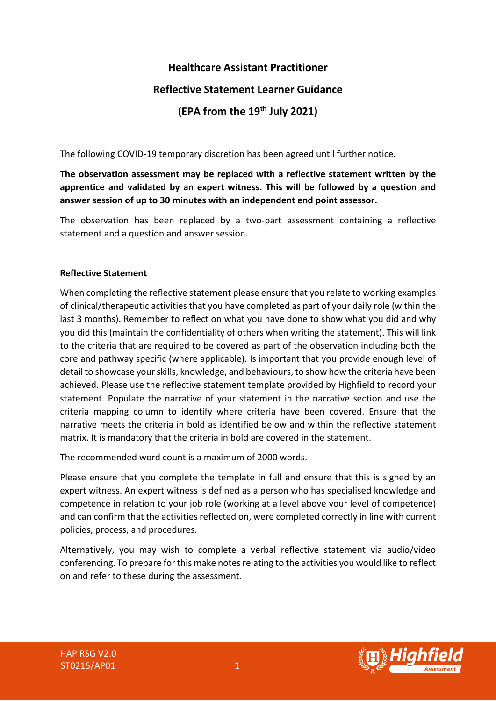# **Healthcare Assistant Practitioner Reflective Statement Learner Guidance (EPA from the 19th July 2021)**

The following COVID-19 temporary discretion has been agreed until further notice.

**The observation assessment may be replaced with a reflective statement written by the apprentice and validated by an expert witness. This will be followed by a question and answer session of up to 30 minutes with an independent end point assessor.**

The observation has been replaced by a two-part assessment containing a reflective statement and a question and answer session.

#### **Reflective Statement**

When completing the reflective statement please ensure that you relate to working examples of clinical/therapeutic activities that you have completed as part of your daily role (within the last 3 months). Remember to reflect on what you have done to show what you did and why you did this (maintain the confidentiality of others when writing the statement). This will link to the criteria that are required to be covered as part of the observation including both the core and pathway specific (where applicable). Is important that you provide enough level of detail to showcase your skills, knowledge, and behaviours, to show how the criteria have been achieved. Please use the reflective statement template provided by Highfield to record your statement. Populate the narrative of your statement in the narrative section and use the criteria mapping column to identify where criteria have been covered. Ensure that the narrative meets the criteria in bold as identified below and within the reflective statement matrix. It is mandatory that the criteria in bold are covered in the statement.

The recommended word count is a maximum of 2000 words.

Please ensure that you complete the template in full and ensure that this is signed by an expert witness. An expert witness is defined as a person who has specialised knowledge and competence in relation to your job role (working at a level above your level of competence) and can confirm that the activities reflected on, were completed correctly in line with current policies, process, and procedures.

Alternatively, you may wish to complete a verbal reflective statement via audio/video conferencing. To prepare for this make notes relating to the activities you would like to reflect on and refer to these during the assessment.

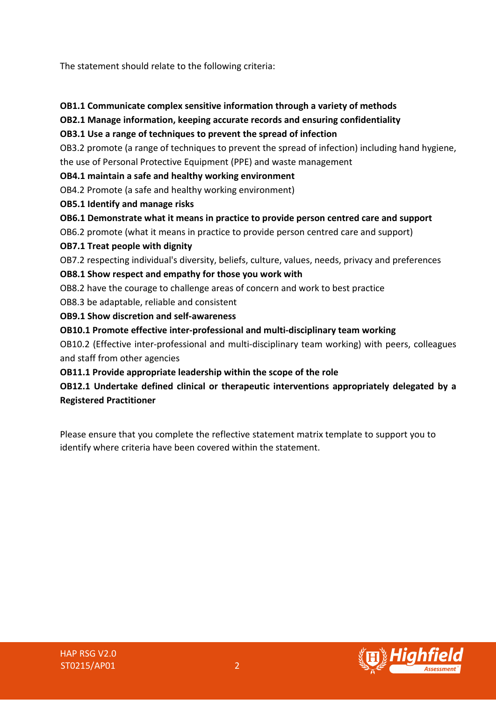The statement should relate to the following criteria:

#### **OB1.1 Communicate complex sensitive information through a variety of methods**

## **OB2.1 Manage information, keeping accurate records and ensuring confidentiality**

#### **OB3.1 Use a range of techniques to prevent the spread of infection**

OB3.2 promote (a range of techniques to prevent the spread of infection) including hand hygiene, the use of Personal Protective Equipment (PPE) and waste management

#### **OB4.1 maintain a safe and healthy working environment**

OB4.2 Promote (a safe and healthy working environment)

- **OB5.1 Identify and manage risks**
- **OB6.1 Demonstrate what it means in practice to provide person centred care and support**

OB6.2 promote (what it means in practice to provide person centred care and support)

## **OB7.1 Treat people with dignity**

OB7.2 respecting individual's diversity, beliefs, culture, values, needs, privacy and preferences

## **OB8.1 Show respect and empathy for those you work with**

OB8.2 have the courage to challenge areas of concern and work to best practice

OB8.3 be adaptable, reliable and consistent

**OB9.1 Show discretion and self-awareness**

**OB10.1 Promote effective inter-professional and multi-disciplinary team working**

OB10.2 (Effective inter-professional and multi-disciplinary team working) with peers, colleagues and staff from other agencies

## **OB11.1 Provide appropriate leadership within the scope of the role**

# **OB12.1 Undertake defined clinical or therapeutic interventions appropriately delegated by a Registered Practitioner**

Please ensure that you complete the reflective statement matrix template to support you to identify where criteria have been covered within the statement.